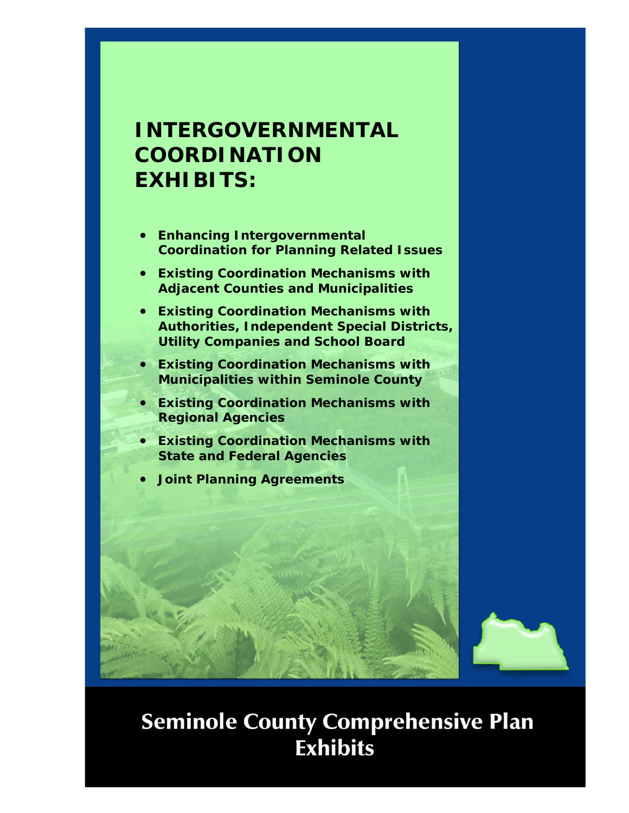## **INTERGOVERNMENTAL COORDINATION EXHIBITS:**

- **Enhancing Intergovernmental Coordination for Planning Related Issues**
- **Existing Coordination Mechanisms with Adjacent Counties and Municipalities**
- **Existing Coordination Mechanisms with Authorities, Independent Special Districts, Utility Companies and School Board**
- **Existing Coordination Mechanisms with Municipalities within Seminole County**
- **Existing Coordination Mechanisms with Regional Agencies**
- **Existing Coordination Mechanisms with State and Federal Agencies**
- **Joint Planning Agreements**



# **Seminole County Comprehensive Plan Exhibits**

IGC 1999 THE REPORT OF THE REPORT OF THE REPORT OF THE REPORT OF THE REPORT OF THE REPORT OF THE REPORT OF THE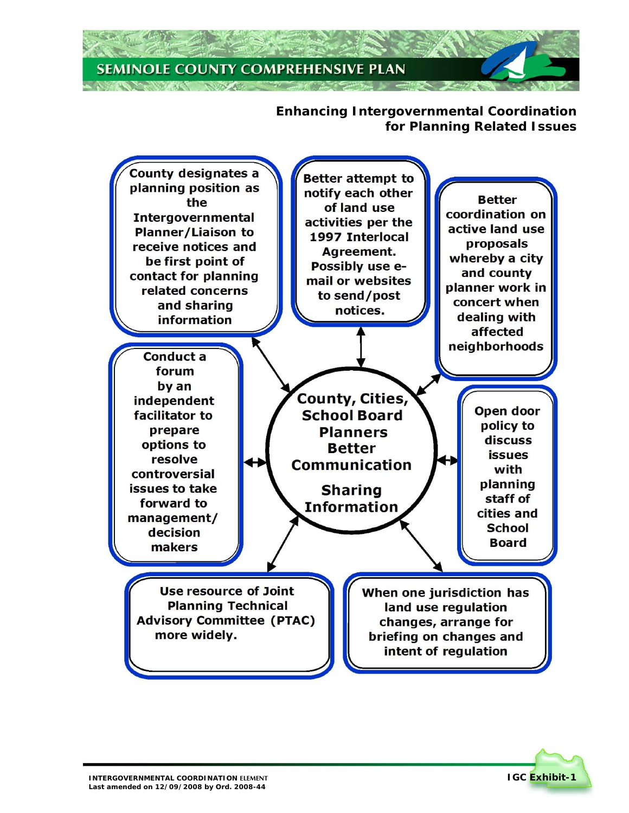#### **Enhancing Intergovernmental Coordination for Planning Related Issues**



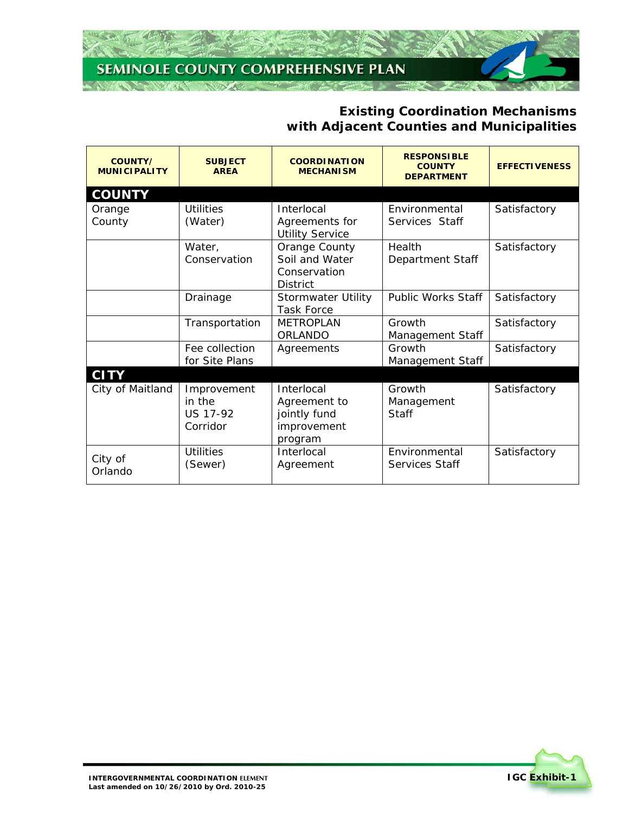#### **Existing Coordination Mechanisms with Adjacent Counties and Municipalities**

| <b>COUNTY/</b><br><b>MUNICIPALITY</b> | <b>SUBJECT</b><br><b>AREA</b>                        | <b>COORDINATION</b><br><b>MECHANISM</b>                              | <b>RESPONSIBLE</b><br><b>COUNTY</b><br><b>DEPARTMENT</b> | <b>EFFECTIVENESS</b> |
|---------------------------------------|------------------------------------------------------|----------------------------------------------------------------------|----------------------------------------------------------|----------------------|
| <b>COUNTY</b>                         |                                                      |                                                                      |                                                          |                      |
| Orange<br>County                      | <b>Utilities</b><br>(Water)                          | Interlocal<br>Agreements for<br><b>Utility Service</b>               | Environmental<br>Services Staff                          | Satisfactory         |
|                                       | Water,<br>Conservation                               | Orange County<br>Soil and Water<br>Conservation<br><b>District</b>   | Health<br>Department Staff                               | Satisfactory         |
|                                       | Drainage                                             | Stormwater Utility<br><b>Task Force</b>                              | <b>Public Works Staff</b>                                | Satisfactory         |
|                                       | Transportation                                       | <b>METROPLAN</b><br><b>ORLANDO</b>                                   | Growth<br>Management Staff                               | Satisfactory         |
|                                       | Fee collection<br>for Site Plans                     | Agreements                                                           | Growth<br>Management Staff                               | Satisfactory         |
| <b>CITY</b>                           |                                                      |                                                                      |                                                          |                      |
| City of Maitland                      | Improvement<br>in the<br><b>US 17-92</b><br>Corridor | Interlocal<br>Agreement to<br>jointly fund<br>improvement<br>program | Growth<br>Management<br><b>Staff</b>                     | Satisfactory         |
| City of<br>Orlando                    | <b>Utilities</b><br>(Sewer)                          | Interlocal<br>Agreement                                              | Environmental<br>Services Staff                          | Satisfactory         |

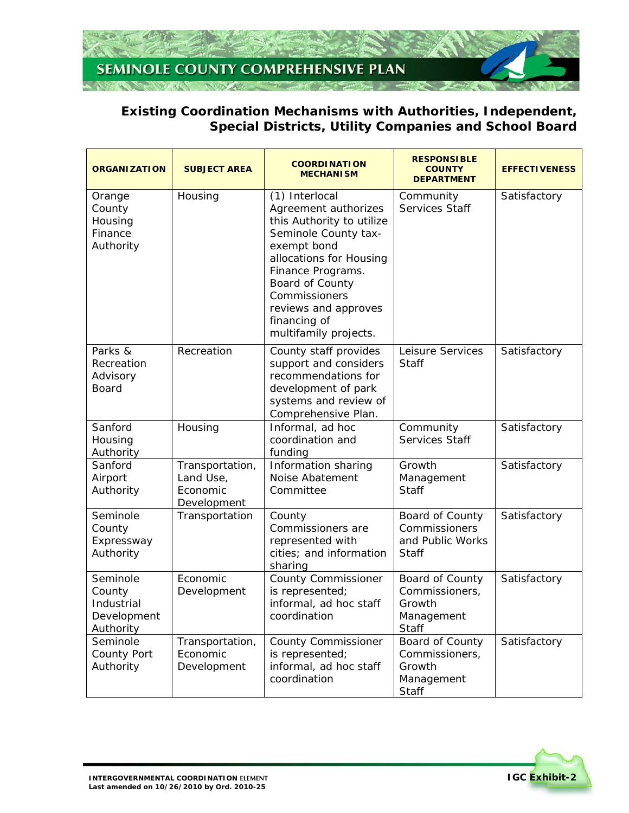

#### **Existing Coordination Mechanisms with Authorities, Independent, Special Districts, Utility Companies and School Board**

| <b>ORGANIZATION</b>                                          | <b>SUBJECT AREA</b>                                     | <b>COORDINATION</b><br><b>MECHANISM</b>                                                                                                                                                                                                                         | <b>RESPONSIBLE</b><br><b>COUNTY</b><br><b>DEPARTMENT</b>             | <b>EFFECTIVENESS</b> |
|--------------------------------------------------------------|---------------------------------------------------------|-----------------------------------------------------------------------------------------------------------------------------------------------------------------------------------------------------------------------------------------------------------------|----------------------------------------------------------------------|----------------------|
| Orange<br>County<br>Housing<br>Finance<br>Authority          | Housing                                                 | (1) Interlocal<br>Agreement authorizes<br>this Authority to utilize<br>Seminole County tax-<br>exempt bond<br>allocations for Housing<br>Finance Programs.<br>Board of County<br>Commissioners<br>reviews and approves<br>financing of<br>multifamily projects. | Community<br>Services Staff                                          | Satisfactory         |
| Parks &<br>Recreation<br>Advisory<br><b>Board</b>            | Recreation                                              | County staff provides<br>support and considers<br>recommendations for<br>development of park<br>systems and review of<br>Comprehensive Plan.                                                                                                                    | Leisure Services<br><b>Staff</b>                                     | Satisfactory         |
| Sanford<br>Housing<br>Authority                              | Housing                                                 | Informal, ad hoc<br>coordination and<br>funding                                                                                                                                                                                                                 | Community<br>Services Staff                                          | Satisfactory         |
| Sanford<br>Airport<br>Authority                              | Transportation,<br>Land Use,<br>Economic<br>Development | Information sharing<br>Noise Abatement<br>Committee                                                                                                                                                                                                             | Growth<br>Management<br><b>Staff</b>                                 | Satisfactory         |
| Seminole<br>County<br>Expressway<br>Authority                | Transportation                                          | County<br>Commissioners are<br>represented with<br>cities; and information<br>sharing                                                                                                                                                                           | Board of County<br>Commissioners<br>and Public Works<br><b>Staff</b> | Satisfactory         |
| Seminole<br>County<br>Industrial<br>Development<br>Authority | Economic<br>Development                                 | <b>County Commissioner</b><br>is represented;<br>informal, ad hoc staff<br>coordination                                                                                                                                                                         | Board of County<br>Commissioners,<br>Growth<br>Management<br>Staff   | Satisfactory         |
| Seminole<br>County Port<br>Authority                         | Transportation,<br>Economic<br>Development              | <b>County Commissioner</b><br>is represented;<br>informal, ad hoc staff<br>coordination                                                                                                                                                                         | Board of County<br>Commissioners,<br>Growth<br>Management<br>Staff   | Satisfactory         |

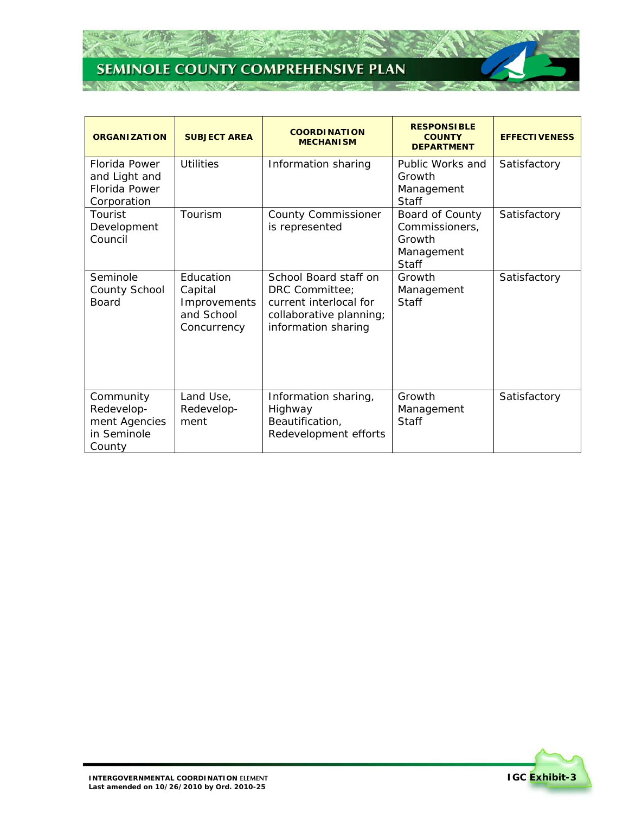Z.

75

**CONTRACTOR** 

| <b>ORGANIZATION</b>                                               | <b>SUBJECT AREA</b>                                               | <b>COORDINATION</b><br><b>MECHANISM</b>                                                                             | <b>RESPONSIBLE</b><br><b>COUNTY</b><br><b>DEPARTMENT</b>                  | <b>EFFECTIVENESS</b> |
|-------------------------------------------------------------------|-------------------------------------------------------------------|---------------------------------------------------------------------------------------------------------------------|---------------------------------------------------------------------------|----------------------|
| Florida Power<br>and Light and<br>Florida Power<br>Corporation    | Utilities                                                         | Information sharing                                                                                                 | Public Works and<br>Growth<br>Management<br><b>Staff</b>                  | Satisfactory         |
| Tourist<br>Development<br>Council                                 | Tourism                                                           | <b>County Commissioner</b><br>is represented                                                                        | Board of County<br>Commissioners,<br>Growth<br>Management<br><b>Staff</b> | Satisfactory         |
| Seminole<br>County School<br><b>Board</b>                         | Education<br>Capital<br>Improvements<br>and School<br>Concurrency | School Board staff on<br>DRC Committee;<br>current interlocal for<br>collaborative planning;<br>information sharing | Growth<br>Management<br><b>Staff</b>                                      | Satisfactory         |
| Community<br>Redevelop-<br>ment Agencies<br>in Seminole<br>County | Land Use,<br>Redevelop-<br>ment                                   | Information sharing,<br>Highway<br>Beautification,<br>Redevelopment efforts                                         | Growth<br>Management<br>Staff                                             | Satisfactory         |

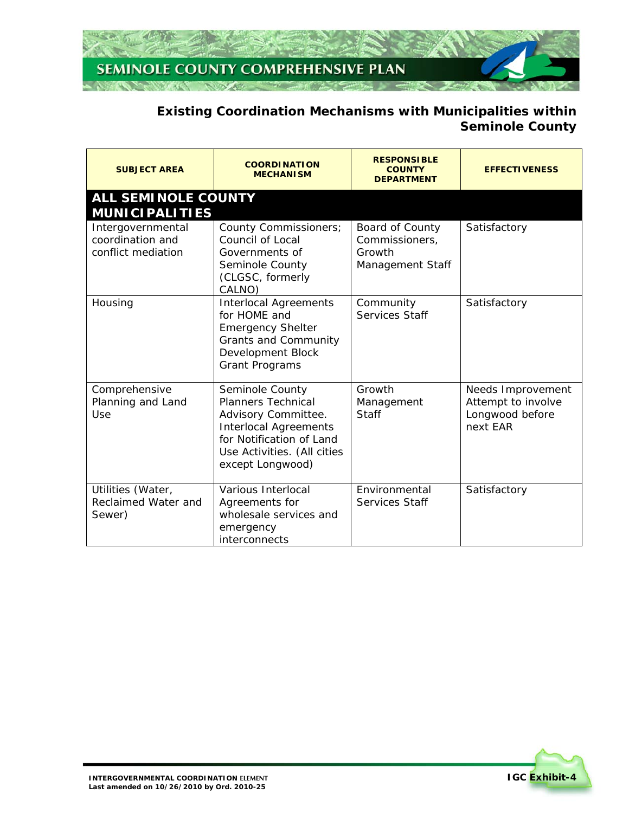

## **Existing Coordination Mechanisms with Municipalities within Seminole County**

| <b>SUBJECT AREA</b>                                         | <b>COORDINATION</b><br><b>MECHANISM</b>                                                                                                                                            | <b>RESPONSIBLE</b><br><b>COUNTY</b><br><b>DEPARTMENT</b>        | <b>EFFECTIVENESS</b>                                                   |
|-------------------------------------------------------------|------------------------------------------------------------------------------------------------------------------------------------------------------------------------------------|-----------------------------------------------------------------|------------------------------------------------------------------------|
| <b>ALL SEMINOLE COUNTY</b><br><b>MUNICIPALITIES</b>         |                                                                                                                                                                                    |                                                                 |                                                                        |
| Intergovernmental<br>coordination and<br>conflict mediation | County Commissioners;<br>Council of Local<br>Governments of<br>Seminole County<br>(CLGSC, formerly<br>CALNO)                                                                       | Board of County<br>Commissioners,<br>Growth<br>Management Staff | Satisfactory                                                           |
| Housing                                                     | <b>Interlocal Agreements</b><br>for HOME and<br><b>Emergency Shelter</b><br><b>Grants and Community</b><br>Development Block<br><b>Grant Programs</b>                              | Community<br>Services Staff                                     | Satisfactory                                                           |
| Comprehensive<br>Planning and Land<br>Use                   | Seminole County<br><b>Planners Technical</b><br>Advisory Committee.<br><b>Interlocal Agreements</b><br>for Notification of Land<br>Use Activities. (All cities<br>except Longwood) | Growth<br>Management<br><b>Staff</b>                            | Needs Improvement<br>Attempt to involve<br>Longwood before<br>next EAR |
| Utilities (Water,<br>Reclaimed Water and<br>Sewer)          | Various Interlocal<br>Agreements for<br>wholesale services and<br>emergency<br>interconnects                                                                                       | Fnvironmental<br>Services Staff                                 | Satisfactory                                                           |

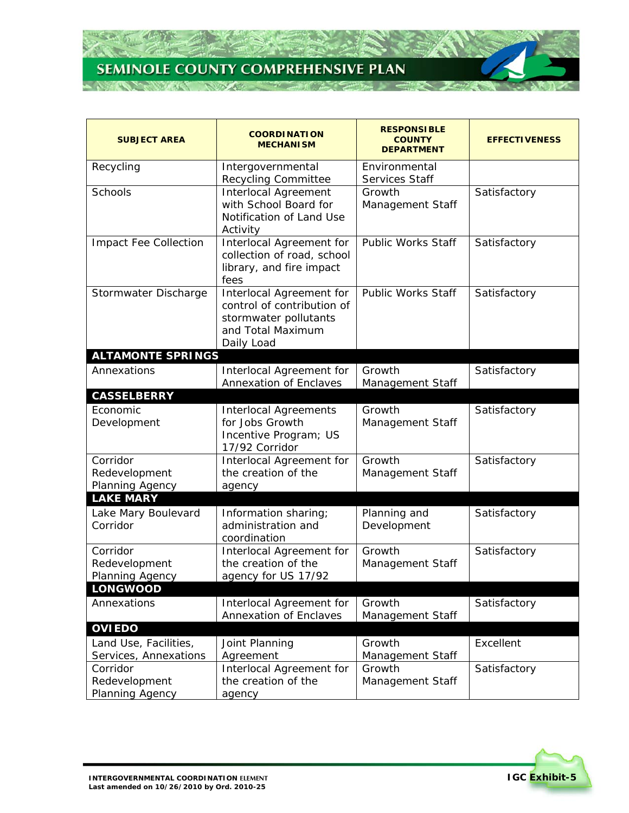26

 $\mathcal{T}$  :

**NORTHERN** 

| <b>SUBJECT AREA</b>          | <b>COORDINATION</b><br><b>MECHANISM</b>                | <b>RESPONSIBLE</b><br><b>COUNTY</b><br><b>DEPARTMENT</b> | <b>EFFECTIVENESS</b> |
|------------------------------|--------------------------------------------------------|----------------------------------------------------------|----------------------|
| Recycling                    | Intergovernmental                                      | Environmental                                            |                      |
|                              | <b>Recycling Committee</b>                             | Services Staff                                           |                      |
| Schools                      | <b>Interlocal Agreement</b>                            | Growth                                                   | Satisfactory         |
|                              | with School Board for<br>Notification of Land Use      | Management Staff                                         |                      |
|                              | Activity                                               |                                                          |                      |
| <b>Impact Fee Collection</b> | Interlocal Agreement for                               | <b>Public Works Staff</b>                                | Satisfactory         |
|                              | collection of road, school                             |                                                          |                      |
|                              | library, and fire impact                               |                                                          |                      |
|                              | fees                                                   |                                                          |                      |
| Stormwater Discharge         | Interlocal Agreement for<br>control of contribution of | <b>Public Works Staff</b>                                | Satisfactory         |
|                              | stormwater pollutants                                  |                                                          |                      |
|                              | and Total Maximum                                      |                                                          |                      |
|                              | Daily Load                                             |                                                          |                      |
| <b>ALTAMONTE SPRINGS</b>     |                                                        |                                                          |                      |
| Annexations                  | Interlocal Agreement for                               | Growth                                                   | Satisfactory         |
|                              | <b>Annexation of Enclaves</b>                          | Management Staff                                         |                      |
| <b>CASSELBERRY</b>           |                                                        |                                                          |                      |
| Economic                     | <b>Interlocal Agreements</b><br>for Jobs Growth        | Growth                                                   | Satisfactory         |
| Development                  | Incentive Program; US                                  | Management Staff                                         |                      |
|                              | 17/92 Corridor                                         |                                                          |                      |
| Corridor                     | Interlocal Agreement for                               | Growth                                                   | Satisfactory         |
| Redevelopment                | the creation of the                                    | Management Staff                                         |                      |
| Planning Agency              | agency                                                 |                                                          |                      |
| <b>LAKE MARY</b>             |                                                        |                                                          |                      |
| Lake Mary Boulevard          | Information sharing;                                   | Planning and                                             | Satisfactory         |
| Corridor                     | administration and<br>coordination                     | Development                                              |                      |
| Corridor                     | Interlocal Agreement for                               | Growth                                                   | Satisfactory         |
| Redevelopment                | the creation of the                                    | Management Staff                                         |                      |
| Planning Agency              | agency for US 17/92                                    |                                                          |                      |
| <b>LONGWOOD</b>              |                                                        |                                                          |                      |
| Annexations                  | Interlocal Agreement for                               | Growth                                                   | Satisfactory         |
|                              | Annexation of Enclaves                                 | Management Staff                                         |                      |
| <b>OVIEDO</b>                |                                                        |                                                          |                      |
| Land Use, Facilities,        | Joint Planning                                         | Growth                                                   | Excellent            |
| Services, Annexations        | Agreement                                              | Management Staff                                         |                      |
| Corridor<br>Redevelopment    | Interlocal Agreement for<br>the creation of the        | Growth<br>Management Staff                               | Satisfactory         |
| Planning Agency              | agency                                                 |                                                          |                      |

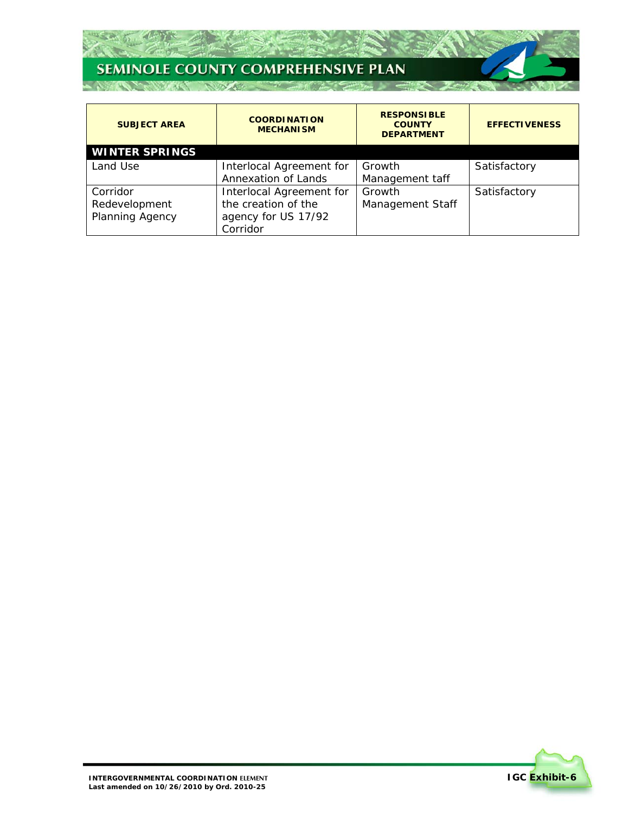Z.

 $\mathcal{T}$  :

| <b>SUBJECT AREA</b>   | <b>RESPONSIBLE</b><br><b>COORDINATION</b><br><b>COUNTY</b><br><b>MECHANISM</b><br><b>DEPARTMENT</b> |                  | <b>EFFECTIVENESS</b> |
|-----------------------|-----------------------------------------------------------------------------------------------------|------------------|----------------------|
| <b>WINTER SPRINGS</b> |                                                                                                     |                  |                      |
| Land Use              | Interlocal Agreement for                                                                            | Growth           | Satisfactory         |
|                       | Annexation of Lands                                                                                 | Management taff  |                      |
| Corridor              | Interlocal Agreement for                                                                            | Growth           | Satisfactory         |
| Redevelopment         | the creation of the                                                                                 | Management Staff |                      |
| Planning Agency       | agency for US 17/92                                                                                 |                  |                      |
|                       | Corridor                                                                                            |                  |                      |

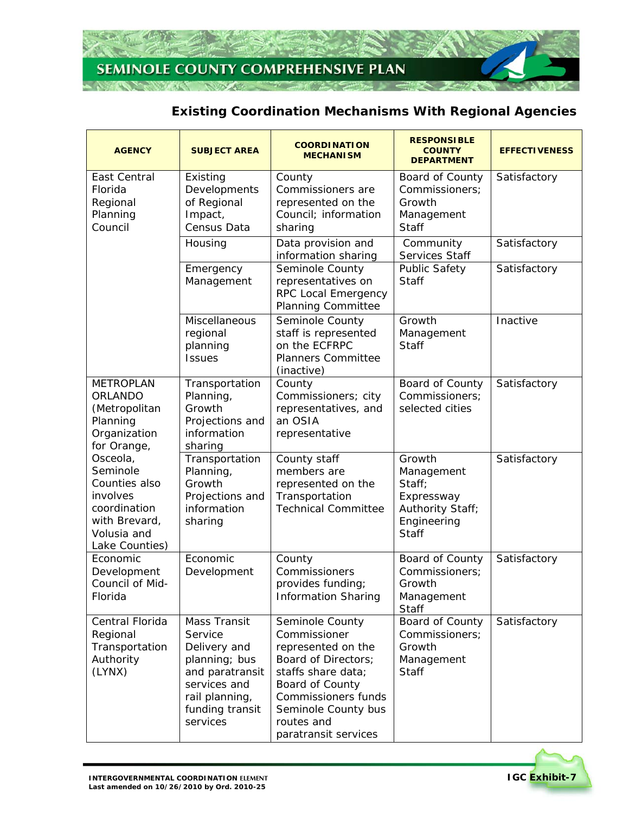

## **Existing Coordination Mechanisms With Regional Agencies**

| <b>AGENCY</b>                                                                                                       | <b>SUBJECT AREA</b>                                                                                                                                 | <b>COORDINATION</b><br><b>MECHANISM</b>                                                                                                                                                                   | <b>RESPONSIBLE</b><br><b>COUNTY</b><br><b>DEPARTMENT</b>                                 | <b>EFFECTIVENESS</b> |
|---------------------------------------------------------------------------------------------------------------------|-----------------------------------------------------------------------------------------------------------------------------------------------------|-----------------------------------------------------------------------------------------------------------------------------------------------------------------------------------------------------------|------------------------------------------------------------------------------------------|----------------------|
| East Central<br>Florida<br>Regional<br>Planning<br>Council                                                          | Existing<br>Developments<br>of Regional<br>Impact,<br>Census Data                                                                                   | County<br>Commissioners are<br>represented on the<br>Council; information<br>sharing                                                                                                                      | Board of County<br>Commissioners;<br>Growth<br>Management<br><b>Staff</b>                | Satisfactory         |
|                                                                                                                     | Housing                                                                                                                                             | Data provision and<br>information sharing                                                                                                                                                                 | Community<br>Services Staff                                                              | Satisfactory         |
|                                                                                                                     | Emergency<br>Management                                                                                                                             | Seminole County<br>representatives on<br>RPC Local Emergency<br><b>Planning Committee</b>                                                                                                                 | <b>Public Safety</b><br>Staff                                                            | Satisfactory         |
|                                                                                                                     | Miscellaneous<br>regional<br>planning<br><b>Issues</b>                                                                                              | Seminole County<br>staff is represented<br>on the ECFRPC<br><b>Planners Committee</b><br>(inactive)                                                                                                       | Growth<br>Management<br><b>Staff</b>                                                     | Inactive             |
| <b>METROPLAN</b><br>ORLANDO<br>(Metropolitan<br>Planning<br>Organization<br>for Orange,                             | Transportation<br>Planning,<br>Growth<br>Projections and<br>information<br>sharing                                                                  | County<br>Commissioners; city<br>representatives, and<br>an OSIA<br>representative                                                                                                                        | Board of County<br>Commissioners;<br>selected cities                                     | Satisfactory         |
| Osceola,<br>Seminole<br>Counties also<br>involves<br>coordination<br>with Brevard,<br>Volusia and<br>Lake Counties) | Transportation<br>Planning,<br>Growth<br>Projections and<br>information<br>sharing                                                                  | County staff<br>members are<br>represented on the<br>Transportation<br><b>Technical Committee</b>                                                                                                         | Growth<br>Management<br>Staff;<br>Expressway<br>Authority Staff;<br>Engineering<br>Staff | Satisfactory         |
| Economic<br>Development<br>Council of Mid-<br>Florida                                                               | Economic<br>Development                                                                                                                             | County<br>Commissioners<br>provides funding;<br><b>Information Sharing</b>                                                                                                                                | Board of County<br>Commissioners;<br>Growth<br>Management<br>Staff                       | Satisfactory         |
| Central Florida<br>Regional<br>Transportation<br>Authority<br>(LYNX)                                                | <b>Mass Transit</b><br>Service<br>Delivery and<br>planning; bus<br>and paratransit<br>services and<br>rail planning,<br>funding transit<br>services | Seminole County<br>Commissioner<br>represented on the<br>Board of Directors;<br>staffs share data;<br>Board of County<br>Commissioners funds<br>Seminole County bus<br>routes and<br>paratransit services | Board of County<br>Commissioners;<br>Growth<br>Management<br><b>Staff</b>                | Satisfactory         |

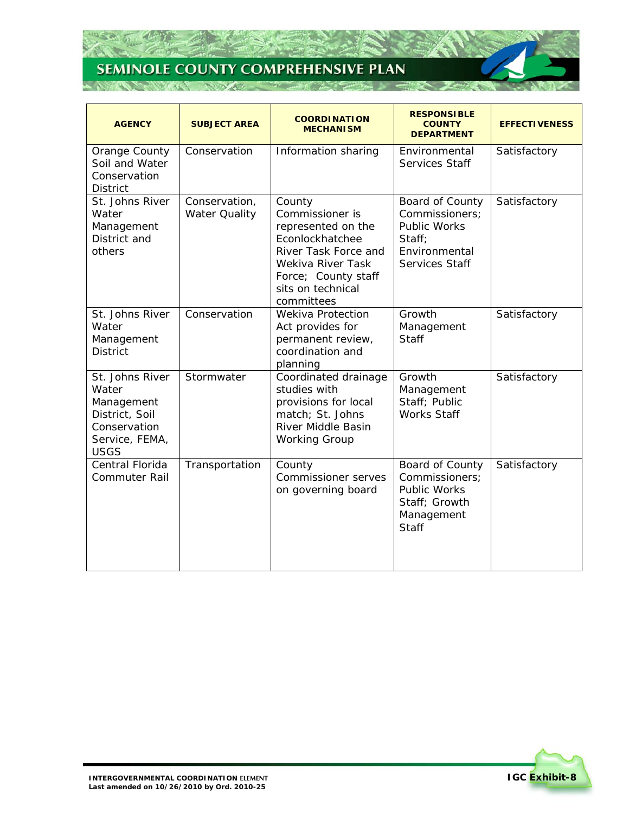25

75



| <b>AGENCY</b>                                                                                             | <b>SUBJECT AREA</b>            | <b>COORDINATION</b><br><b>MECHANISM</b>                                                                                                                                   | <b>RESPONSIBLE</b><br><b>COUNTY</b><br><b>DEPARTMENT</b>                                                | <b>EFFECTIVENESS</b> |
|-----------------------------------------------------------------------------------------------------------|--------------------------------|---------------------------------------------------------------------------------------------------------------------------------------------------------------------------|---------------------------------------------------------------------------------------------------------|----------------------|
| Orange County<br>Soil and Water<br>Conservation<br><b>District</b>                                        | Conservation                   | Information sharing                                                                                                                                                       | Environmental<br>Services Staff                                                                         | Satisfactory         |
| St. Johns River<br>Water<br>Management<br>District and<br>others                                          | Conservation,<br>Water Quality | County<br>Commissioner is<br>represented on the<br>Econlockhatchee<br>River Task Force and<br>Wekiva River Task<br>Force; County staff<br>sits on technical<br>committees | Board of County<br>Commissioners;<br>Public Works<br>Staff;<br>Environmental<br>Services Staff          | Satisfactory         |
| St. Johns River<br>Water<br>Management<br><b>District</b>                                                 | Conservation                   | Wekiva Protection<br>Act provides for<br>permanent review,<br>coordination and<br>planning                                                                                | Growth<br>Management<br><b>Staff</b>                                                                    | Satisfactory         |
| St. Johns River<br>Water<br>Management<br>District, Soil<br>Conservation<br>Service, FEMA,<br><b>USGS</b> | Stormwater                     | Coordinated drainage<br>studies with<br>provisions for local<br>match; St. Johns<br>River Middle Basin<br><b>Working Group</b>                                            | Growth<br>Management<br>Staff; Public<br><b>Works Staff</b>                                             | Satisfactory         |
| Central Florida<br><b>Commuter Rail</b>                                                                   | Transportation                 | County<br><b>Commissioner serves</b><br>on governing board                                                                                                                | Board of County<br>Commissioners;<br><b>Public Works</b><br>Staff; Growth<br>Management<br><b>Staff</b> | Satisfactory         |

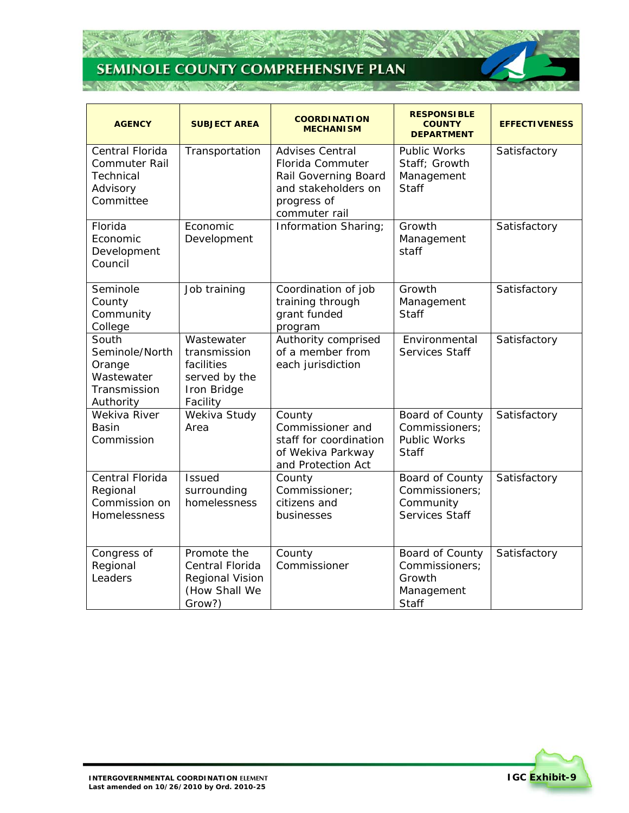## **SEMINOLE COUNTY COMPREHENSIVE PLAN STATISTICS**

ZA

75



| <b>AGENCY</b>                                                                 | <b>SUBJECT AREA</b>                                                                  | <b>COORDINATION</b><br><b>MECHANISM</b>                                                                                   | <b>RESPONSIBLE</b><br><b>COUNTY</b><br><b>DEPARTMENT</b>                 | <b>EFFECTIVENESS</b> |
|-------------------------------------------------------------------------------|--------------------------------------------------------------------------------------|---------------------------------------------------------------------------------------------------------------------------|--------------------------------------------------------------------------|----------------------|
| Central Florida<br><b>Commuter Rail</b><br>Technical<br>Advisory<br>Committee | Transportation                                                                       | <b>Advises Central</b><br>Florida Commuter<br>Rail Governing Board<br>and stakeholders on<br>progress of<br>commuter rail | <b>Public Works</b><br>Staff; Growth<br>Management<br><b>Staff</b>       | Satisfactory         |
| Florida<br>Economic<br>Development<br>Council                                 | Economic<br>Development                                                              | Information Sharing;                                                                                                      | Growth<br>Management<br>staff                                            | Satisfactory         |
| Seminole<br>County<br>Community<br>College                                    | Job training                                                                         | Coordination of job<br>training through<br>grant funded<br>program                                                        | Growth<br>Management<br><b>Staff</b>                                     | Satisfactory         |
| South<br>Seminole/North<br>Orange<br>Wastewater<br>Transmission<br>Authority  | Wastewater<br>transmission<br>facilities<br>served by the<br>Iron Bridge<br>Facility | Authority comprised<br>of a member from<br>each jurisdiction                                                              | Environmental<br>Services Staff                                          | Satisfactory         |
| Wekiva River<br>Basin<br>Commission                                           | Wekiva Study<br>Area                                                                 | County<br>Commissioner and<br>staff for coordination<br>of Wekiva Parkway<br>and Protection Act                           | Board of County<br>Commissioners;<br><b>Public Works</b><br><b>Staff</b> | Satisfactory         |
| Central Florida<br>Regional<br>Commission on<br>Homelessness                  | <b>Issued</b><br>surrounding<br>homelessness                                         | County<br>Commissioner;<br>citizens and<br>businesses                                                                     | Board of County<br>Commissioners;<br>Community<br>Services Staff         | Satisfactory         |
| Congress of<br>Regional<br>Leaders                                            | Promote the<br>Central Florida<br><b>Regional Vision</b><br>(How Shall We<br>Grow?)  | County<br>Commissioner                                                                                                    | Board of County<br>Commissioners;<br>Growth<br>Management<br>Staff       | Satisfactory         |

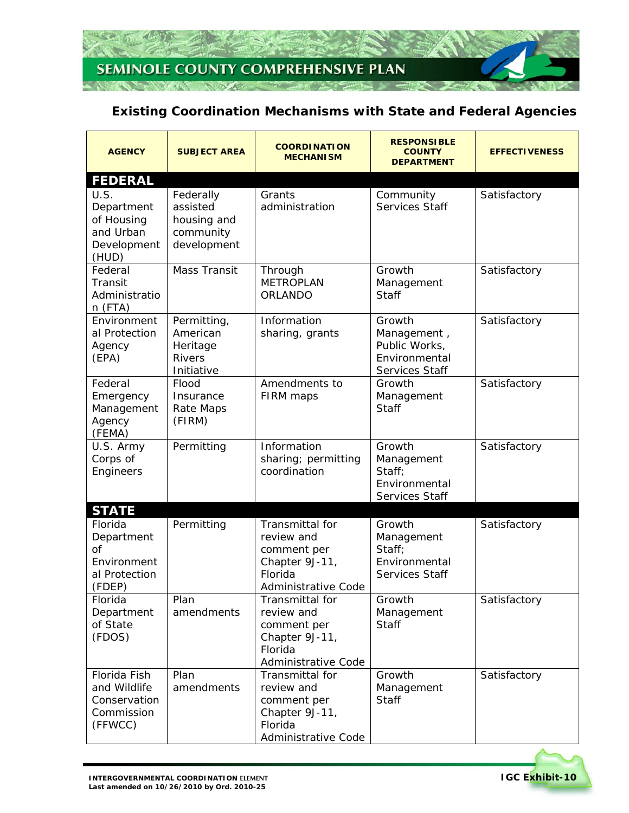

## **Existing Coordination Mechanisms with State and Federal Agencies**

| <b>AGENCY</b>                                                                           | <b>SUBJECT AREA</b>                                                | <b>COORDINATION</b><br><b>MECHANISM</b>                                                          | <b>RESPONSIBLE</b><br><b>COUNTY</b><br><b>DEPARTMENT</b>                  | <b>EFFECTIVENESS</b> |
|-----------------------------------------------------------------------------------------|--------------------------------------------------------------------|--------------------------------------------------------------------------------------------------|---------------------------------------------------------------------------|----------------------|
| <b>FEDERAL</b><br>U.S.<br>Department<br>of Housing<br>and Urban<br>Development<br>(HUD) | Federally<br>assisted<br>housing and<br>community<br>development   | Grants<br>administration                                                                         | Community<br>Services Staff                                               | Satisfactory         |
| Federal<br>Transit<br>Administratio<br>n (FTA)                                          | <b>Mass Transit</b>                                                | Through<br><b>METROPLAN</b><br>ORLANDO                                                           | Growth<br>Management<br><b>Staff</b>                                      | Satisfactory         |
| Environment<br>al Protection<br>Agency<br>(EPA)                                         | Permitting,<br>American<br>Heritage<br><b>Rivers</b><br>Initiative | Information<br>sharing, grants                                                                   | Growth<br>Management,<br>Public Works,<br>Environmental<br>Services Staff | Satisfactory         |
| Federal<br>Emergency<br>Management<br>Agency<br>(FEMA)                                  | Flood<br>Insurance<br>Rate Maps<br>(FIRM)                          | Amendments to<br>FIRM maps                                                                       | Growth<br>Management<br><b>Staff</b>                                      | Satisfactory         |
| U.S. Army<br>Corps of<br>Engineers                                                      | Permitting                                                         | Information<br>sharing; permitting<br>coordination                                               | Growth<br>Management<br>Staff;<br>Environmental<br>Services Staff         | Satisfactory         |
| <b>STATE</b>                                                                            |                                                                    |                                                                                                  |                                                                           |                      |
| Florida<br>Department<br>$\Omega$<br>Environment<br>al Protection<br>(FDEP)             | Permitting                                                         | Transmittal for<br>review and<br>comment per<br>Chapter 9J-11,<br>Florida<br>Administrative Code | Growth<br>Management<br>Staff;<br>Environmental<br>Services Staff         | Satisfactory         |
| Florida<br>Department<br>of State<br>(FDOS)                                             | Plan<br>amendments                                                 | Transmittal for<br>review and<br>comment per<br>Chapter 9J-11,<br>Florida<br>Administrative Code | Growth<br>Management<br><b>Staff</b>                                      | Satisfactory         |
| Florida Fish<br>and Wildlife<br>Conservation<br>Commission<br>(FFWCC)                   | Plan<br>amendments                                                 | Transmittal for<br>review and<br>comment per<br>Chapter 9J-11,<br>Florida<br>Administrative Code | Growth<br>Management<br><b>Staff</b>                                      | Satisfactory         |

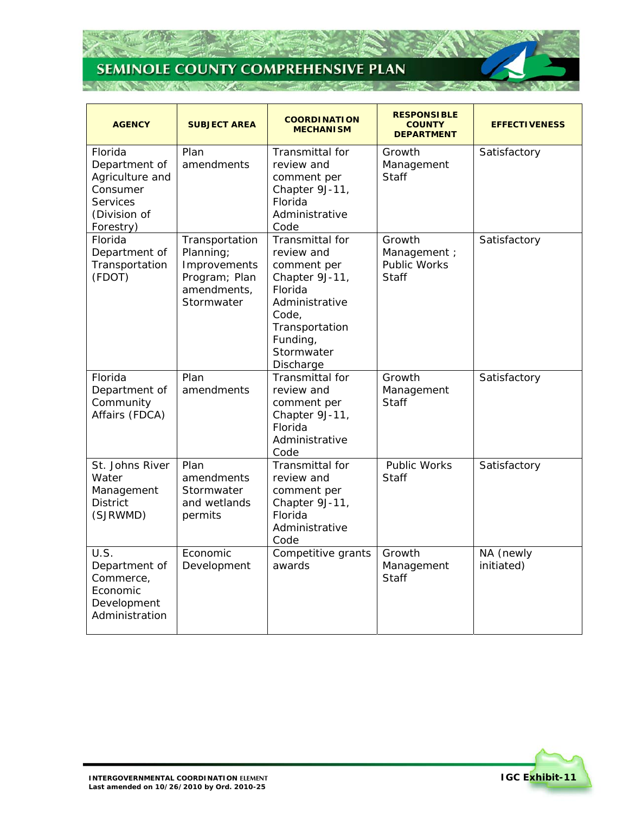26

 $\mathcal{T}$  :

**NEW ST** 

| <b>AGENCY</b>                                                                                    | <b>SUBJECT AREA</b>                                                                       | <b>COORDINATION</b><br><b>MECHANISM</b>                                                                                                                       | <b>RESPONSIBLE</b><br><b>COUNTY</b><br><b>DEPARTMENT</b> | <b>EFFECTIVENESS</b>    |
|--------------------------------------------------------------------------------------------------|-------------------------------------------------------------------------------------------|---------------------------------------------------------------------------------------------------------------------------------------------------------------|----------------------------------------------------------|-------------------------|
| Florida<br>Department of<br>Agriculture and<br>Consumer<br>Services<br>(Division of<br>Forestry) | Plan<br>amendments                                                                        | Transmittal for<br>review and<br>comment per<br>Chapter 9J-11,<br><b>Florida</b><br>Administrative<br>Code                                                    | Growth<br>Management<br>Staff                            | Satisfactory            |
| Florida<br>Department of<br>Transportation<br>(FDOT)                                             | Transportation<br>Planning;<br>Improvements<br>Program; Plan<br>amendments,<br>Stormwater | Transmittal for<br>review and<br>comment per<br>Chapter 9J-11,<br>Florida<br>Administrative<br>Code,<br>Transportation<br>Funding,<br>Stormwater<br>Discharge | Growth<br>Management ;<br><b>Public Works</b><br>Staff   | Satisfactory            |
| Florida<br>Department of<br>Community<br>Affairs (FDCA)                                          | Plan<br>amendments                                                                        | Transmittal for<br>review and<br>comment per<br>Chapter 9J-11,<br>Florida<br>Administrative<br>Code                                                           | Growth<br>Management<br>Staff                            | Satisfactory            |
| St. Johns River<br>Water<br>Management<br><b>District</b><br>(SJRWMD)                            | Plan<br>amendments<br>Stormwater<br>and wetlands<br>permits                               | Transmittal for<br>review and<br>comment per<br>Chapter 9J-11,<br>Florida<br>Administrative<br>Code                                                           | <b>Public Works</b><br>Staff                             | Satisfactory            |
| U.S.<br>Department of<br>Commerce,<br>Economic<br>Development<br>Administration                  | Economic<br>Development                                                                   | Competitive grants<br>awards                                                                                                                                  | Growth<br>Management<br>Staff                            | NA (newly<br>initiated) |

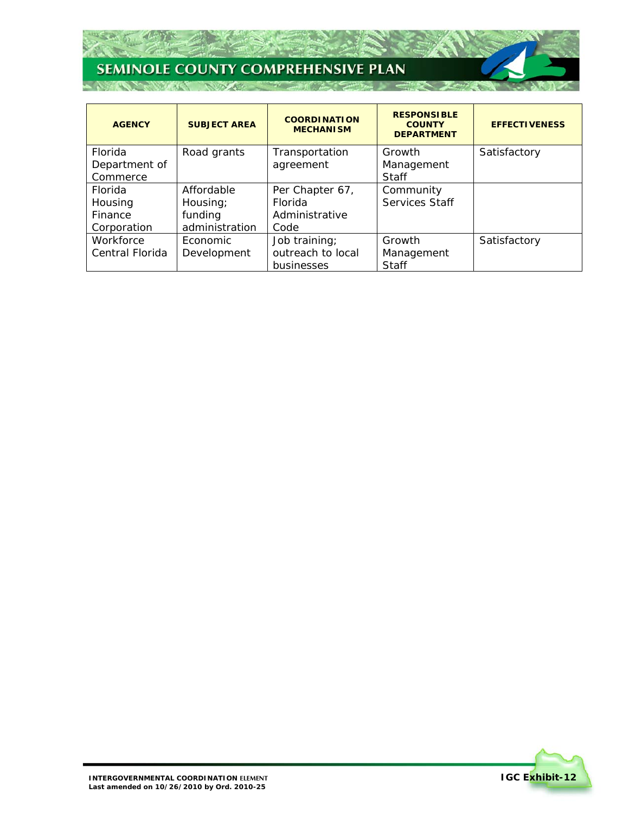Z.

 $\mathcal{T}$  :

**STATISTICS** 

| <b>AGENCY</b>   | <b>SUBJECT AREA</b> | <b>COORDINATION</b><br><b>MECHANISM</b> | <b>RESPONSIBLE</b><br><b>COUNTY</b><br><b>DEPARTMENT</b> | <b>EFFECTIVENESS</b> |
|-----------------|---------------------|-----------------------------------------|----------------------------------------------------------|----------------------|
| Florida         | Road grants         | Transportation                          | Growth                                                   | Satisfactory         |
| Department of   |                     | agreement                               | Management                                               |                      |
| Commerce        |                     |                                         | <b>Staff</b>                                             |                      |
| Florida         | Affordable          | Per Chapter 67,                         | Community                                                |                      |
| Housing         | Housing;            | Florida                                 | Services Staff                                           |                      |
| Finance         | funding             | Administrative                          |                                                          |                      |
| Corporation     | administration      | Code                                    |                                                          |                      |
| Workforce       | Economic            | Job training;                           | Growth                                                   | Satisfactory         |
| Central Florida | Development         | outreach to local                       | Management                                               |                      |
|                 |                     | businesses                              | <b>Staff</b>                                             |                      |